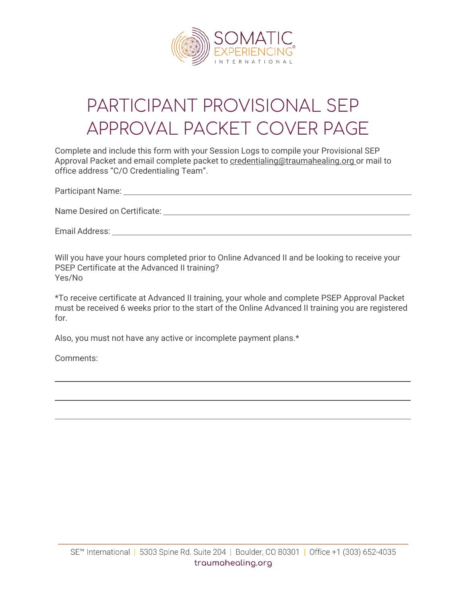

## PARTICIPANT PROVISIONAL SEP APPROVAL PACKET COVER PAGE

Complete and include this form with your Session Logs to compile your Provisional SEP Approval Packet and email complete packet to [credentialing@traumahealing.org o](mailto:credentialing@traumahealing.org)r mail to office address "C/O Credentialing Team".

Participant Name: University of the Contract of the Contract of the Contract of the Contract of the Contract of the Contract of the Contract of the Contract of the Contract of the Contract of the Contract of the Contract o

Name Desired on Certificate:

Email Address:

Will you have your hours completed prior to Online Advanced II and be looking to receive your PSEP Certificate at the Advanced II training? Yes/No

\*To receive certificate at Advanced II training, your whole and complete PSEP Approval Packet must be received 6 weeks prior to the start of the Online Advanced II training you are registered for.

Also, you must not have any active or incomplete payment plans.\*

Comments: